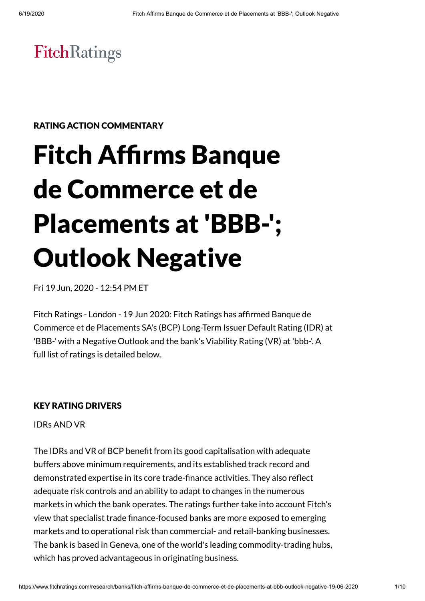# **FitchRatings**

RATING ACTION COMMENTARY

# **Fitch Affirms Banque** de Commerce et de Placements at 'BBB- '; Outlook Negative

Fri 19 Jun, 2020 - 12:54 PM ET

Fitch Ratings - London - 19 Jun 2020: Fitch Ratings has affirmed Banque de Commerce et de Placements SA's (BCP) Long-Term Issuer Default Rating (IDR) at 'BBB-' with a Negative Outlook and the bank's Viability Rating (VR) at 'bbb-'. A full list of ratings is detailed below.

# KEY RATING DRIVERS

IDRs AND VR

The IDRs and VR of BCP benefit from its good capitalisation with adequate buffers above minimum requirements, and its established track record and demonstrated expertise in its core trade-finance activities. They also reflect adequate risk controls and an ability to adapt to changes in the numerous markets in which the bank operates. The ratings further take into account Fitch's view that specialist trade finance-focused banks are more exposed to emerging markets and to operational risk than commercial- and retail-banking businesses. The bank is based in Geneva, one of the world's leading commodity-trading hubs, which has proved advantageous in originating business.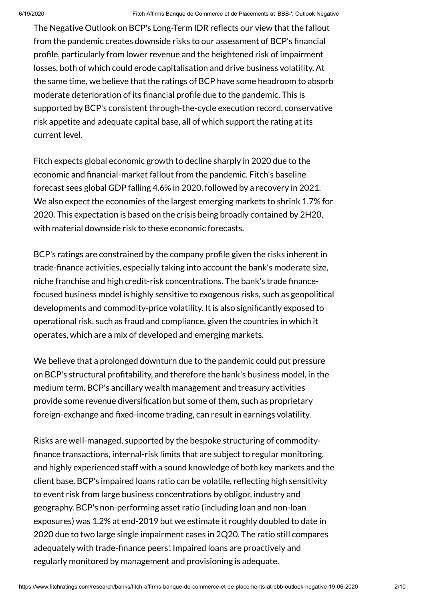The Negative Outlook on BCP's Long-Term IDR reflects our view that the fallout from the pandemic creates downside risks to our assessment of BCP's financial profile, particularly from lower revenue and the heightened risk of impairment losses, both of which could erode capitalisation and drive business volatility. At the same time, we believe that the ratings of BCP have some headroom to absorb moderate deterioration of its financial profile due to the pandemic. This is supported by BCP's consistent through-the-cycle execution record, conservative risk appetite and adequate capital base, all of which support the rating at its current level.

Fitch expects global economic growth to decline sharply in 2020 due to the economic and financial-market fallout from the pandemic. Fitch's baseline forecast sees global GDP falling 4.6% in 2020, followed by a recovery in 2021. We also expect the economies of the largest emerging markets to shrink 1.7% for 2020. This expectation is based on the crisis being broadly contained by 2H20, with material downside risk to these economic forecasts.

BCP's ratings are constrained by the company profile given the risks inherent in trade-finance activities, especially taking into account the bank's moderate size, niche franchise and high credit-risk concentrations. The bank's trade financefocused business model is highly sensitive to exogenous risks, such as geopolitical developments and commodity-price volatility. It is also significantly exposed to operational risk, such as fraud and compliance, given the countries in which it operates, which are a mix of developed and emerging markets.

We believe that a prolonged downturn due to the pandemic could put pressure on BCP's structural profitability, and therefore the bank's business model, in the medium term. BCP's ancillary wealth management and treasury activities provide some revenue diversification but some of them, such as proprietary foreign-exchange and fixed-income trading, can result in earnings volatility.

Risks are well-managed, supported by the bespoke structuring of commodity nance transactions, internal-risk limits that are subject to regular monitoring, and highly experienced staff with a sound knowledge of both key markets and the client base. BCP's impaired loans ratio can be volatile, reflecting high sensitivity to event risk from large business concentrations by obligor, industry and geography. BCP's non-performing asset ratio (including loan and non-loan exposures) was 1.2% at end-2019 but we estimate it roughly doubled to date in 2020 due to two large single impairment cases in 2Q20. The ratio still compares adequately with trade-finance peers'. Impaired loans are proactively and regularly monitored by management and provisioning is adequate.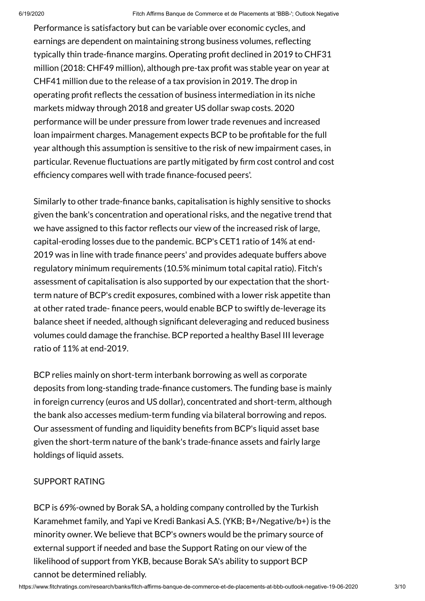Performance is satisfactory but can be variable over economic cycles, and earnings are dependent on maintaining strong business volumes, reflecting typically thin trade-finance margins. Operating profit declined in 2019 to CHF31 million (2018: CHF49 million), although pre-tax profit was stable year on year at CHF41 million due to the release of a tax provision in 2019. The drop in operating profit reflects the cessation of business intermediation in its niche markets midway through 2018 and greater US dollar swap costs. 2020 performance will be under pressure from lower trade revenues and increased loan impairment charges. Management expects BCP to be profitable for the full year although this assumption is sensitive to the risk of new impairment cases, in particular. Revenue fluctuations are partly mitigated by firm cost control and cost efficiency compares well with trade finance-focused peers'.

Similarly to other trade-finance banks, capitalisation is highly sensitive to shocks given the bank's concentration and operational risks, and the negative trend that we have assigned to this factor reflects our view of the increased risk of large, capital-eroding losses due to the pandemic. BCP's CET1 ratio of 14% at end-2019 was in line with trade finance peers' and provides adequate buffers above regulatory minimum requirements (10.5% minimum total capital ratio). Fitch's assessment of capitalisation is also supported by our expectation that the shortterm nature of BCP's credit exposures, combined with a lower risk appetite than at other rated trade- finance peers, would enable BCP to swiftly de-leverage its balance sheet if needed, although significant deleveraging and reduced business volumes could damage the franchise. BCP reported a healthy Basel III leverage ratio of 11% at end-2019.

BCP relies mainly on short-term interbank borrowing as well as corporate deposits from long-standing trade-finance customers. The funding base is mainly in foreign currency (euros and US dollar), concentrated and short-term, although the bank also accesses medium-term funding via bilateral borrowing and repos. Our assessment of funding and liquidity benefits from BCP's liquid asset base given the short-term nature of the bank's trade-finance assets and fairly large holdings of liquid assets.

# SUPPORT RATING

BCP is 69%-owned by Borak SA, a holding company controlled by the Turkish Karamehmet family, and Yapi ve Kredi Bankasi A.S. (YKB; B+/Negative/b+) is the minority owner. We believe that BCP's owners would be the primary source of external support if needed and base the Support Rating on our view of the likelihood of support from YKB, because Borak SA's ability to support BCP cannot be determined reliably.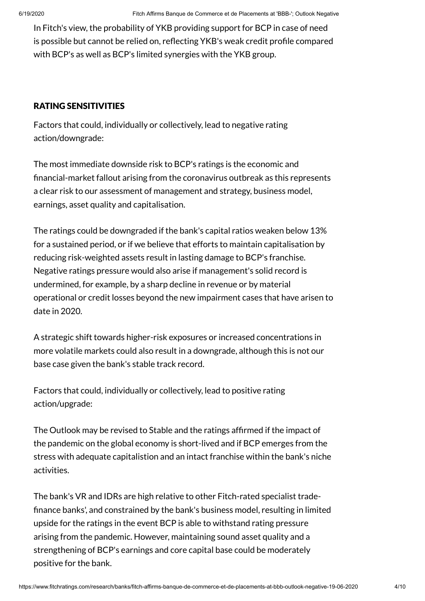In Fitch's view, the probability of YKB providing support for BCP in case of need is possible but cannot be relied on, reflecting YKB's weak credit profile compared with BCP's as well as BCP's limited synergies with the YKB group.

# RATING SENSITIVITIES

Factors that could, individually or collectively, lead to negative rating action/downgrade:

The most immediate downside risk to BCP's ratings is the economic and nancial-market fallout arising from the coronavirus outbreak as this represents a clear risk to our assessment of management and strategy, business model, earnings, asset quality and capitalisation.

The ratings could be downgraded if the bank's capital ratios weaken below 13% for a sustained period, or if we believe that efforts to maintain capitalisation by reducing risk-weighted assets result in lasting damage to BCP's franchise. Negative ratings pressure would also arise if management's solid record is undermined, for example, by a sharp decline in revenue or by material operational or credit losses beyond the new impairment cases that have arisen to date in 2020.

A strategic shift towards higher-risk exposures or increased concentrations in more volatile markets could also result in a downgrade, although this is not our base case given the bank's stable track record.

Factors that could, individually or collectively, lead to positive rating action/upgrade:

The Outlook may be revised to Stable and the ratings affirmed if the impact of the pandemic on the global economy is short-lived and if BCP emerges from the stress with adequate capitalistion and an intact franchise within the bank's niche activities.

The bank's VR and IDRs are high relative to other Fitch-rated specialist trade nance banks', and constrained by the bank's business model, resulting in limited upside for the ratings in the event BCP is able to withstand rating pressure arising from the pandemic. However, maintaining sound asset quality and a strengthening of BCP's earnings and core capital base could be moderately positive for the bank.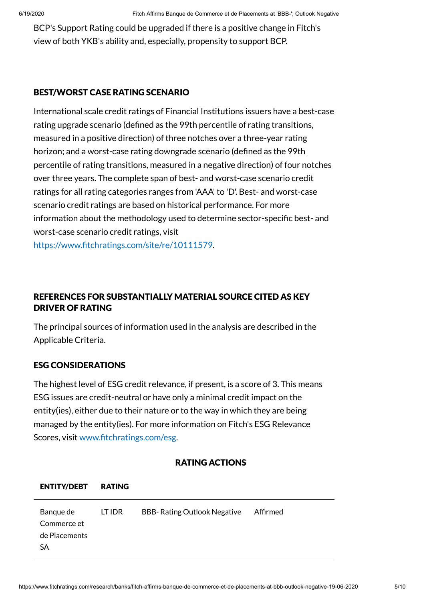BCP's Support Rating could be upgraded if there is a positive change in Fitch's view of both YKB's ability and, especially, propensity to support BCP.

#### BEST/WORST CASE RATING SCENARIO

International scale credit ratings of Financial Institutions issuers have a best-case rating upgrade scenario (defined as the 99th percentile of rating transitions, measured in a positive direction) of three notches over a three-year rating horizon; and a worst-case rating downgrade scenario (defined as the 99th percentile of rating transitions, measured in a negative direction) of four notches over three years. The complete span of best- and worst-case scenario credit ratings for all rating categories ranges from 'AAA' to 'D'. Best- and worst-case scenario credit ratings are based on historical performance. For more information about the methodology used to determine sector-specific best- and worst-case scenario credit ratings, visit

https://www.fitchratings.com/site/re/10111579.

# REFERENCES FOR SUBSTANTIALLY MATERIAL SOURCE CITED AS KEY DRIVER OF RATING

The principal sources of information used in the analysis are described in the Applicable Criteria.

# ESG CONSIDERATIONS

The highest level of ESG credit relevance, if present, is a score of 3. This means ESG issues are credit-neutral or have only a minimal credit impact on the entity(ies), either due to their nature or to the way in which they are being managed by the entity(ies). For more information on Fitch's ESG Relevance Scores, visit www.fitchratings.com/esg.

# RATING ACTIONS

| <b>ENTITY/DEBT</b>                              | <b>RATING</b> |                                    |          |
|-------------------------------------------------|---------------|------------------------------------|----------|
| Banque de<br>Commerce et<br>de Placements<br>SA | LT IDR        | <b>BBB-Rating Outlook Negative</b> | Affirmed |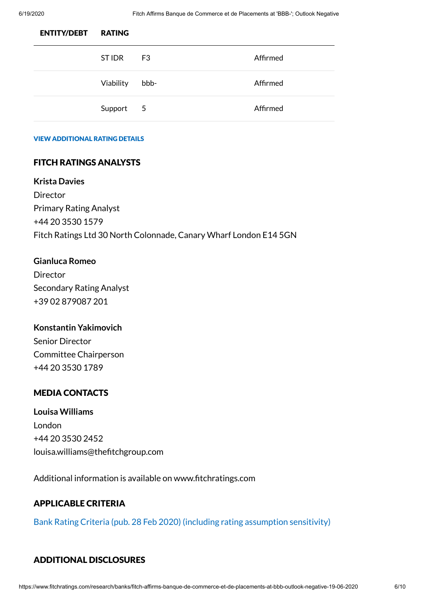6/19/2020 Fitch Affirms Banque de Commerce et de Placements at 'BBB-'; Outlook Negative

| <b>ENTITY/DEBT RATING</b> |           |      |          |
|---------------------------|-----------|------|----------|
|                           | STIDR F3  |      | Affirmed |
|                           | Viability | bbb- | Affirmed |
|                           | Support 5 |      | Affirmed |

#### VIEW ADDITIONAL RATING DETAILS

#### FITCH RATINGS ANALYSTS

#### **Krista Davies**

**Director** Primary Rating Analyst +44 20 3530 1579 Fitch Ratings Ltd 30 North Colonnade, Canary Wharf London E14 5GN

#### **Gianluca Romeo**

**Director** Secondary Rating Analyst +39 02 879087 201

# **Konstantin Yakimovich**

Senior Director Committee Chairperson +44 20 3530 1789

#### MEDIA CONTACTS

**Louisa Williams** London +44 20 3530 2452 louisa.williams@thefitchgroup.com

Additional information is available on www.fitchratings.com

#### APPLICABLE CRITERIA

Bank Rating Criteria (pub. 28 Feb 2020) (including rating [assumption](https://www.fitchratings.com/research/banks/bank-rating-criteria-28-02-2020) sensitivity)

#### ADDITIONAL DISCLOSURES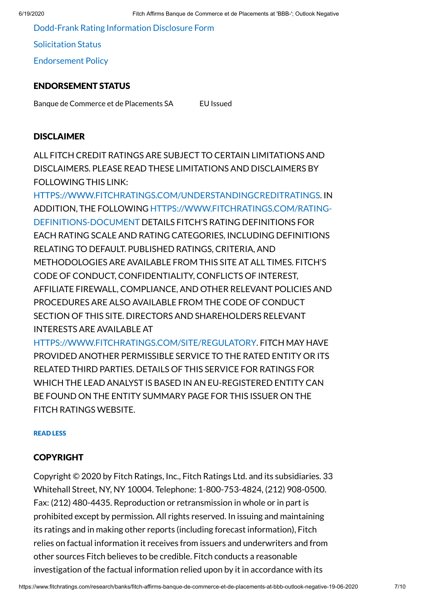[Dodd-Frank](https://www.fitchratings.com/research/banks/fitch-affirms-banque-de-commerce-et-de-placements-at-bbb-outlook-negative-19-06-2020/dodd-frank-disclosure) Rating Information Disclosure Form

[Solicitation](#page-8-0) Status

[Endorsement](#page-8-1) Policy

#### ENDORSEMENT STATUS

Banque de Commerce et de Placements SA EU Issued

#### DISCLAIMER

ALL FITCH CREDIT RATINGS ARE SUBJECT TO CERTAIN LIMITATIONS AND DISCLAIMERS. PLEASE READ THESE LIMITATIONS AND DISCLAIMERS BY FOLLOWING THIS LINK:

[HTTPS://WWW.FITCHRATINGS.COM/UNDERSTANDINGCREDITRATINGS](https://www.fitchratings.com/UNDERSTANDINGCREDITRATINGS). IN ADDITION, THE FOLLOWING [HTTPS://WWW.FITCHRATINGS.COM/RATING-](https://www.fitchratings.com/rating-definitions-document)DEFINITIONS-DOCUMENT DETAILS FITCH'S RATING DEFINITIONS FOR EACH RATING SCALE AND RATING CATEGORIES, INCLUDING DEFINITIONS RELATING TO DEFAULT. PUBLISHED RATINGS, CRITERIA, AND METHODOLOGIES ARE AVAILABLE FROM THIS SITE AT ALL TIMES. FITCH'S CODE OF CONDUCT, CONFIDENTIALITY, CONFLICTS OF INTEREST, AFFILIATE FIREWALL, COMPLIANCE, AND OTHER RELEVANT POLICIES AND PROCEDURES ARE ALSO AVAILABLE FROM THE CODE OF CONDUCT SECTION OF THIS SITE. DIRECTORS AND SHAREHOLDERS RELEVANT INTERESTS ARE AVAILABLE AT

[HTTPS://WWW.FITCHRATINGS.COM/SITE/REGULATORY](https://www.fitchratings.com/site/regulatory). FITCH MAY HAVE PROVIDED ANOTHER PERMISSIBLE SERVICE TO THE RATED ENTITY OR ITS RELATED THIRD PARTIES. DETAILS OF THIS SERVICE FOR RATINGS FOR WHICH THE LEAD ANALYST IS BASED IN AN EU-REGISTERED ENTITY CAN BE FOUND ON THE ENTITY SUMMARY PAGE FOR THIS ISSUER ON THE FITCH RATINGS WEBSITE.

#### READ LESS

#### COPYRIGHT

Copyright © 2020 by Fitch Ratings, Inc., Fitch Ratings Ltd. and its subsidiaries. 33 Whitehall Street, NY, NY 10004. Telephone: 1-800-753-4824, (212) 908-0500. Fax: (212) 480-4435. Reproduction or retransmission in whole or in part is prohibited except by permission. All rights reserved. In issuing and maintaining its ratings and in making other reports (including forecast information), Fitch relies on factual information it receives from issuers and underwriters and from other sources Fitch believes to be credible. Fitch conducts a reasonable investigation of the factual information relied upon by it in accordance with its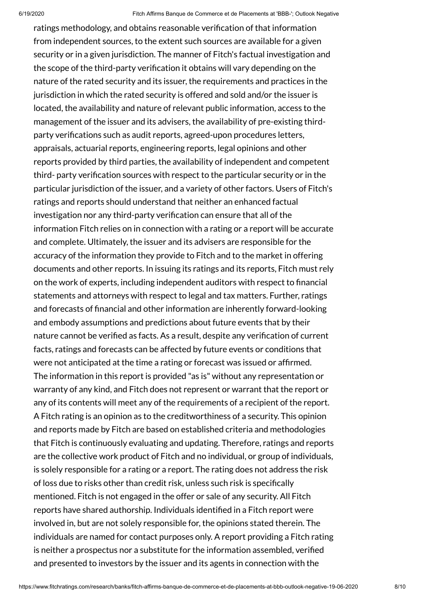ratings methodology, and obtains reasonable verification of that information from independent sources, to the extent such sources are available for a given security or in a given jurisdiction. The manner of Fitch's factual investigation and the scope of the third-party verification it obtains will vary depending on the nature of the rated security and its issuer, the requirements and practices in the jurisdiction in which the rated security is offered and sold and/or the issuer is located, the availability and nature of relevant public information, access to the management of the issuer and its advisers, the availability of pre-existing thirdparty verifications such as audit reports, agreed-upon procedures letters, appraisals, actuarial reports, engineering reports, legal opinions and other reports provided by third parties, the availability of independent and competent third- party verification sources with respect to the particular security or in the particular jurisdiction of the issuer, and a variety of other factors. Users of Fitch's ratings and reports should understand that neither an enhanced factual investigation nor any third-party verification can ensure that all of the information Fitch relies on in connection with a rating or a report will be accurate and complete. Ultimately, the issuer and its advisers are responsible for the accuracy of the information they provide to Fitch and to the market in offering documents and other reports. In issuing its ratings and its reports, Fitch must rely on the work of experts, including independent auditors with respect to financial statements and attorneys with respect to legal and tax matters. Further, ratings and forecasts of financial and other information are inherently forward-looking and embody assumptions and predictions about future events that by their nature cannot be verified as facts. As a result, despite any verification of current facts, ratings and forecasts can be affected by future events or conditions that were not anticipated at the time a rating or forecast was issued or affirmed. The information in this report is provided "as is" without any representation or warranty of any kind, and Fitch does not represent or warrant that the report or any of its contents will meet any of the requirements of a recipient of the report. A Fitch rating is an opinion as to the creditworthiness of a security. This opinion and reports made by Fitch are based on established criteria and methodologies that Fitch is continuously evaluating and updating. Therefore, ratings and reports are the collective work product of Fitch and no individual, or group of individuals, is solely responsible for a rating or a report. The rating does not address the risk of loss due to risks other than credit risk, unless such risk is specifically mentioned. Fitch is not engaged in the offer or sale of any security. All Fitch reports have shared authorship. Individuals identified in a Fitch report were involved in, but are not solely responsible for, the opinions stated therein. The individuals are named for contact purposes only. A report providing a Fitch rating is neither a prospectus nor a substitute for the information assembled, verified and presented to investors by the issuer and its agents in connection with the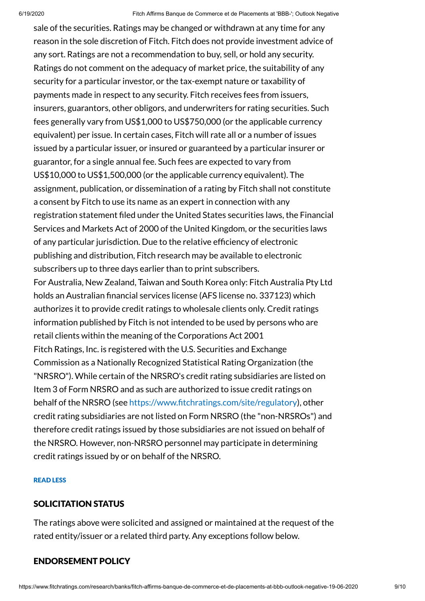sale of the securities. Ratings may be changed or withdrawn at any time for any reason in the sole discretion of Fitch. Fitch does not provide investment advice of any sort. Ratings are not a recommendation to buy, sell, or hold any security. Ratings do not comment on the adequacy of market price, the suitability of any security for a particular investor, or the tax-exempt nature or taxability of payments made in respect to any security. Fitch receives fees from issuers, insurers, guarantors, other obligors, and underwriters for rating securities. Such fees generally vary from US\$1,000 to US\$750,000 (or the applicable currency equivalent) per issue. In certain cases, Fitch will rate all or a number of issues issued by a particular issuer, or insured or guaranteed by a particular insurer or guarantor, for a single annual fee. Such fees are expected to vary from US\$10,000 to US\$1,500,000 (or the applicable currency equivalent). The assignment, publication, or dissemination of a rating by Fitch shall not constitute a consent by Fitch to use its name as an expert in connection with any registration statement filed under the United States securities laws, the Financial Services and Markets Act of 2000 of the United Kingdom, or the securities laws of any particular jurisdiction. Due to the relative efficiency of electronic publishing and distribution, Fitch research may be available to electronic subscribers up to three days earlier than to print subscribers. For Australia, New Zealand, Taiwan and South Korea only: Fitch Australia Pty Ltd holds an Australian financial services license (AFS license no. 337123) which authorizes it to provide credit ratings to wholesale clients only. Credit ratings information published by Fitch is not intended to be used by persons who are retail clients within the meaning of the Corporations Act 2001 Fitch Ratings, Inc. is registered with the U.S. Securities and Exchange Commission as a Nationally Recognized Statistical Rating Organization (the "NRSRO"). While certain of the NRSRO's credit rating subsidiaries are listed on Item 3 of Form NRSRO and as such are authorized to issue credit ratings on behalf of the NRSRO (see https://www.fitchratings.com/site/regulatory), other credit rating subsidiaries are not listed on Form NRSRO (the "non-NRSROs") and therefore credit ratings issued by those subsidiaries are not issued on behalf of the NRSRO. However, non-NRSRO personnel may participate in determining credit ratings issued by or on behalf of the NRSRO.

#### READ LESS

#### <span id="page-8-0"></span>SOLICITATION STATUS

The ratings above were solicited and assigned or maintained at the request of the rated entity/issuer or a related third party. Any exceptions follow below.

# <span id="page-8-1"></span>ENDORSEMENT POLICY